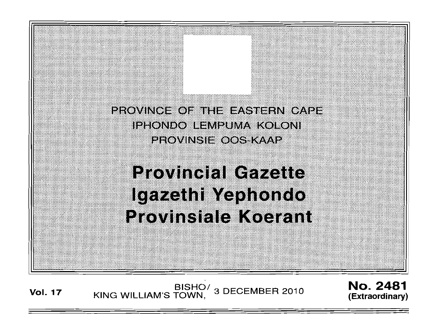**PROVINCE OF THE EASTERN CAPE** IPHONDO LEMPUMA KOLONI PROVINSIE OOS KAAP

**Provincial Gazette** Igazethi Yephondo **Provinsiale Koerant** 

Vol. 17 KING WILLIAM'S TOWN, 3 DECEMBER 2010

**No. 2481 (Extraordinary)** 

, ,' ....

... ': :

: ~; ::;:': :' . '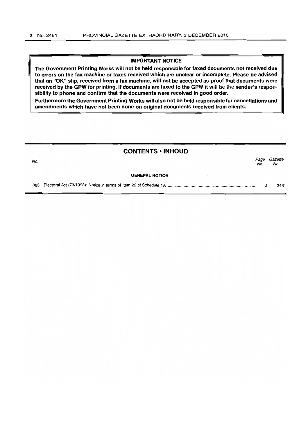### IMPORTANT NOTICE

The Government Printing Works will not be held responsible for faxed documents not received due to errors on the fax machine or faxes received which are unclear or incomplete. Please be advised that an "OK" slip, received from a fax machine, will not be accepted as proof that documents were received by the GPW for printing. If documents are faxed to the GPW it will be the sender's responsibility to phone and confirm that the documents were received in good order.

Furthermore the Government Printing Works will also not be held responsible for cancellations and amendments which have not been done on original documents received from clients.

## CONTENTS **• INHOUD**

No. Page Gazette No. No.

#### GENERAL NOTICE

383 Electoral Act (73/1998): Notice in terms of Item 22 of Schedule 1 A ............................................................................ . 3 2481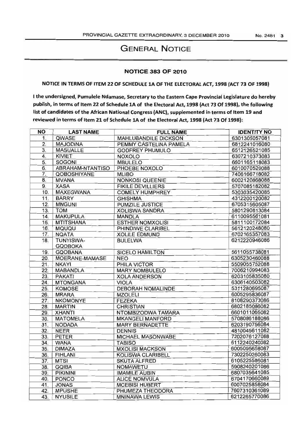# GENERAL NOTICE

## NOTICE 383 OF 2010

# NOTICE IN TERMS OF ITEM 22 OF SCHEDULE 1A OF THE ELECTORAL ACT, 1998 (ACT 73 OF 1998)

I the undersigned, Pumulele Ndamase, Secretary to the Eastern Cape Provincial Legislature do hereby publish, in terms of Item 22 of Schedule 1A of the Electoral Act, 1998 (Act 73 Of 1998), the following list of candidates of the African National Congress (ANC), supplemented in terms of Item 19 and reviewed in terms of Item 21 of Schedule 1A of the Electoral Act, 1998 (Act 73 Of 1998):

| ΝO               | <b>LAST NAME</b>   | <b>FULL NAME</b>            | <b>IDENTITY NO</b> |
|------------------|--------------------|-----------------------------|--------------------|
| 1.               | QWASE              | <b>MAHLUBANDILE DICKSON</b> | 6301305057081      |
| $\overline{2}$ . | <b>MAJODINA</b>    | PEMMY CASTELINA PAMELA      | 6812241016080      |
| $\overline{3}$ . | <b>MASUALLE</b>    | <b>GODFREY PHUMULO</b>      | 6512126521085      |
| 4.               | KIVIET             | <b>NOXOLO</b>               | 6307210373083      |
| 5.               | <b>SOGONI</b>      | <b>MBULELO</b>              | 6601165118083      |
| 6.               | ABRAHAM-NTANTISO   | PHOEBE NOXOLO               | 6010070520088      |
| 7.               | <b>QOBOSHIYANE</b> | <b>MLIBO</b>                | 7406166718082      |
| 8.               | <b>MVANA</b>       | <b>NONKOSI QUEENIE</b>      | 6002120868088      |
| 9.               | <b>XASA</b>        | <b>FIKILE DEVILLIERS</b>    | 5707085182082      |
| 10.              | <b>MAXEGWANA</b>   | <b>COMELY HUMPHREY</b>      | 5303035420085      |
| 11.              | <b>BARRY</b>       | <b>GHISHMA</b>              | 4312200120082      |
| 12.              | <b>MNGUNI</b>      | <b>PUMZILE JUSTICE</b>      | 6705315605087      |
| 13.              | <b>TOM</b>         | <b>XOLISWA SANDRA</b>       | 5801290813084      |
| 14.              | <b>MAKUPULA</b>    | <b>MANDLA</b>               | 6110095561081      |
| 15.              | <b>MTITSHANA</b>   | <b>ESTHER NOMXOLISI</b>     | 5811100172084      |
| 16.              | <b>MQUQU</b>       | PHINDIWE CLARIBEL           | 5612120248080      |
| 17.              | <b>NQATA</b>       | <b>XOLILE EDMUND</b>        | 6702165357083      |
| 18.              | TUNYISWA-          | <b>BULELWA</b>              | 6212220946086      |
|                  | <b>GQOBOKA</b>     |                             |                    |
| 19.              | <b>GQOBANA</b>     | <b>SICELO HAMILTON</b>      | 5611055738081      |
| 20.              | MOERANE-MAMASE     | <b>NEO</b>                  | 6305230460088      |
| 21.              | <b>NKAYI</b>       | PHILA VICTOR                | 5509055752088      |
| 22.              | <b>MABANDLA</b>    | <b>MARY NOMBULELO</b>       | 7006210994083      |
| 23.              | <b>PAKATI</b>      | <b>XOLA ANDERSON</b>        | 6203105835080      |
| 24.              | <b>MTONGANA</b>    | <b>VIOLA</b>                | 6306140503082      |
| 25.              | <b>KOMOSE</b>      | <b>DEBORAH NOMALINDE</b>    | 5311280695087      |
| 26.              | <b>MRARA</b>       | <b>MZOLELI</b>              | 6005295836087      |
| 27.              | <b>NKOMONYE</b>    | <b>FEZEKA</b>               | 8108290373086      |
| 28.              | <b>MARTIN</b>      | <b>CHRISTIAN</b>            | 6802185086082      |
| 29.              | <b>XHANTI</b>      | NTOMBIZODWA TAMARA          | 6601011065082      |
| 30.              | <b>MATOMELA</b>    | <b>MKANGELI MANFORD</b>     | 5708086188086      |
| 31.              | <b>NODADA</b>      | <b>MARY BERNADETTE</b>      | 6203190756084      |
| 32.              | <b>NEER</b>        | <b>DENNIS</b>               | 4810045611082      |
| 33.              | <b>PETER</b>       | <b>MICHAEL MASONWABE</b>    | 7202076127088      |
| 34.              | <b>WANA</b>        | <b>TABISO</b>               | 6112240240082      |
| 35.              | <b>DIMAZA</b>      | <b>MXOLISI MACKSON</b>      | 6005095658087      |
| 36.              | <b>FIHLANI</b>     | <b>KOLISWA CLARIBELL</b>    | 7302250260083      |
| 37.              | <b>MTSI</b>        | <b>SKUTA ALFRED</b>         | 6105225586081      |
| 38.              | <b>GQIBA</b>       | <b>NOMAWETU</b>             | 5908240201086      |
| 39.              | <b>PIKININI</b>    | <b>IMAMILE AUBIN</b>        | 6807035641085      |
| 40.              | <b>PONCO</b>       | <b>ALICE NOMVULA</b>        | 6704170660089      |
| 41.              | <b>JONAS</b>       | <b>MCEBISI HUBERT</b>       | 6007025858084      |
| 42.              | <b>MPUSHE</b>      | PHUMEZA THEODORA            | 7607310361089      |
| 43.              | <b>NYUSILE</b>     | <b>MNINAWA LEWIS</b>        | 6212265770086      |